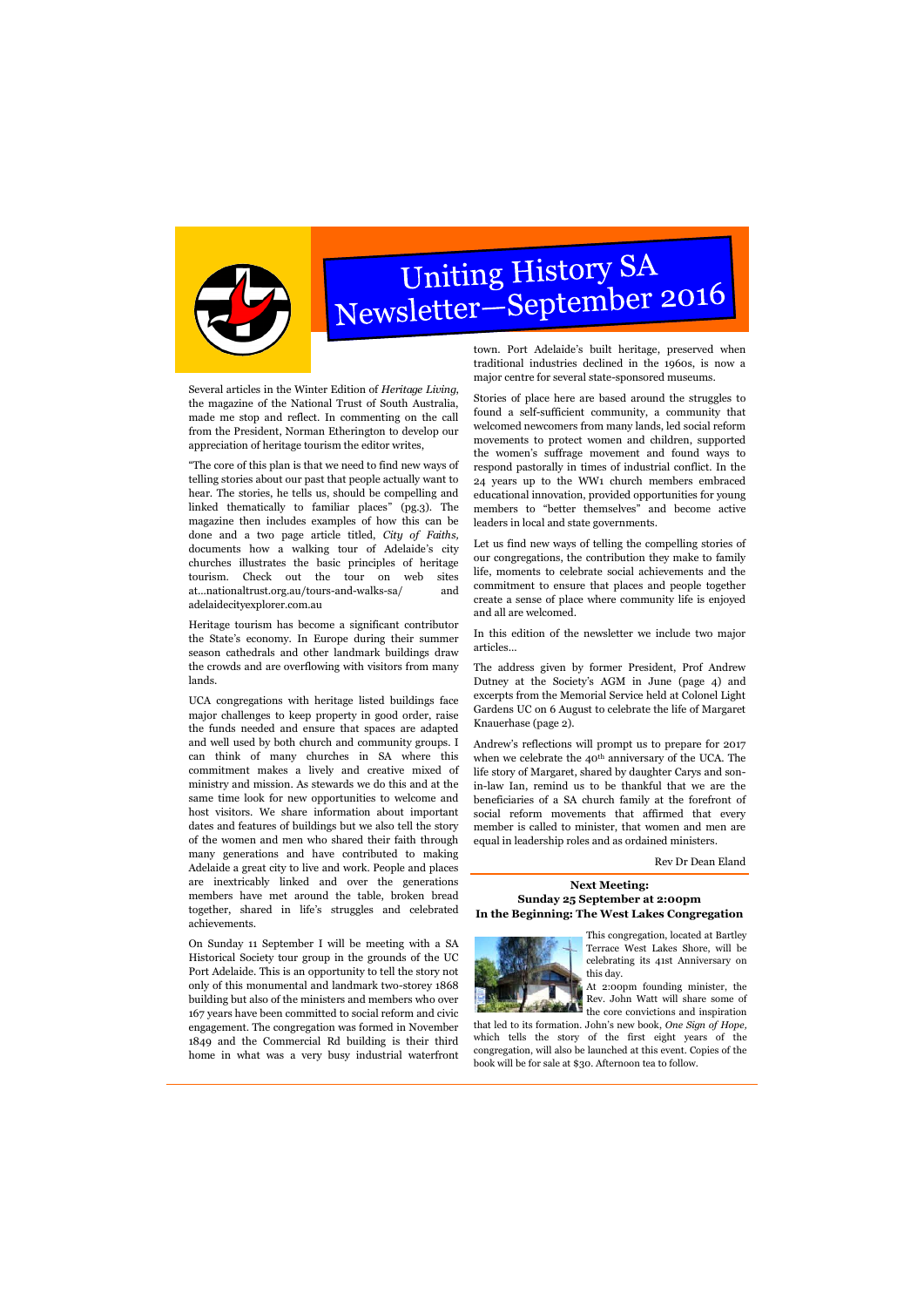

# Uniting History SA<br>Newsletter–September 2016

Several articles in the Winter Edition of *Heritage Living*, the magazine of the National Trust of South Australia, made me stop and reflect. In commenting on the call from the President, Norman Etherington to develop our appreciation of heritage tourism the editor writes,

"The core of this plan is that we need to find new ways of telling stories about our past that people actually want to hear. The stories, he tells us, should be compelling and linked thematically to familiar places" (pg.3). The magazine then includes examples of how this can be done and a two page article titled, *City of Faiths,* documents how a walking tour of Adelaide's city churches illustrates the basic principles of heritage tourism. Check out the tour on web sites at...nationaltrust.org.au/tours-and-walks-sa/ and adelaidecityexplorer.com.au

Heritage tourism has become a significant contributor the State's economy. In Europe during their summer season cathedrals and other landmark buildings draw the crowds and are overflowing with visitors from many lands.

UCA congregations with heritage listed buildings face major challenges to keep property in good order, raise the funds needed and ensure that spaces are adapted and well used by both church and community groups. I can think of many churches in SA where this commitment makes a lively and creative mixed of ministry and mission. As stewards we do this and at the same time look for new opportunities to welcome and host visitors. We share information about important dates and features of buildings but we also tell the story of the women and men who shared their faith through many generations and have contributed to making Adelaide a great city to live and work. People and places are inextricably linked and over the generations members have met around the table, broken bread together, shared in life's struggles and celebrated achievements.

> At 2:00pm founding minister, the Rev. John Watt will share some of  $t_{\text{th}}$  the core convictions and inspiration

On Sunday 11 September I will be meeting with a SA Historical Society tour group in the grounds of the UC Port Adelaide. This is an opportunity to tell the story not only of this monumental and landmark two-storey 1868 building but also of the ministers and members who over 167 years have been committed to social reform and civic engagement. The congregation was formed in November 1849 and the Commercial Rd building is their third home in what was a very busy industrial waterfront

town. Port Adelaide's built heritage, preserved when traditional industries declined in the 1960s, is now a major centre for several state-sponsored museums.

Stories of place here are based around the struggles to found a self-sufficient community, a community that welcomed newcomers from many lands, led social reform movements to protect women and children, supported the women's suffrage movement and found ways to respond pastorally in times of industrial conflict. In the 24 years up to the WW1 church members embraced educational innovation, provided opportunities for young members to "better themselves" and become active leaders in local and state governments.

Let us find new ways of telling the compelling stories of our congregations, the contribution they make to family life, moments to celebrate social achievements and the commitment to ensure that places and people together create a sense of place where community life is enjoyed and all are welcomed.

In this edition of the newsletter we include two major articles...

The address given by former President, Prof Andrew Dutney at the Society's AGM in June (page 4) and excerpts from the Memorial Service held at Colonel Light Gardens UC on 6 August to celebrate the life of Margaret Knauerhase (page 2).

Andrew's reflections will prompt us to prepare for 2017 when we celebrate the 40<sup>th</sup> anniversary of the UCA. The life story of Margaret, shared by daughter Carys and sonin-law Ian, remind us to be thankful that we are the beneficiaries of a SA church family at the forefront of social reform movements that affirmed that every member is called to minister, that women and men are equal in leadership roles and as ordained ministers.

Rev Dr Dean Eland

This congregation, located at Bartley Terrace West Lakes Shore, will be celebrating its 41st Anniversary on this day.



that led to its formation. John's new book, *One Sign of Hope,* which tells the story of the first eight years of the congregation, will also be launched at this event. Copies of the book will be for sale at \$30. Afternoon tea to follow.

# **Next Meeting: Sunday 25 September at 2:00pm In the Beginning: The West Lakes Congregation**

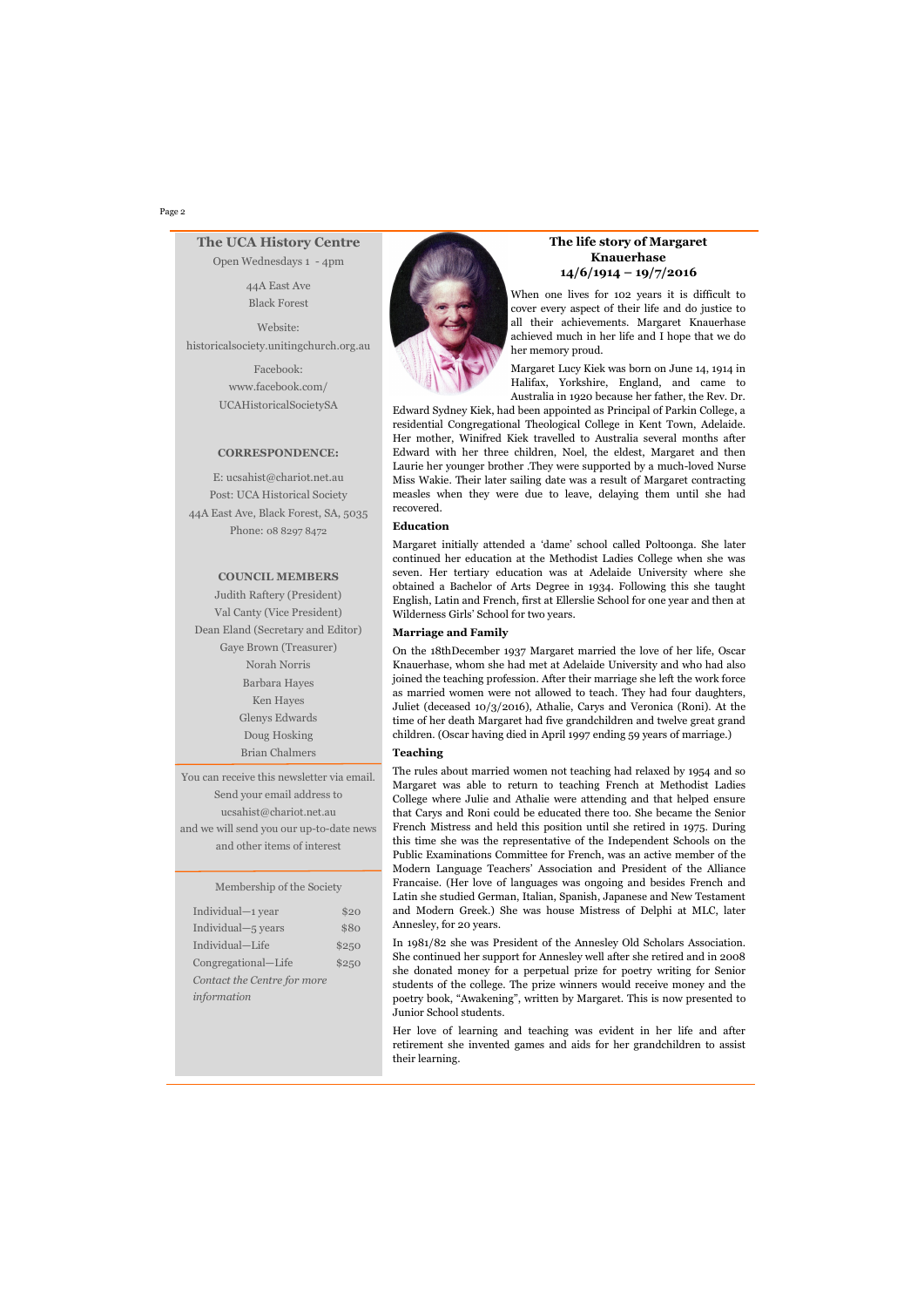#### Page 2

# **The life story of Margaret Knauerhase 14/6/1914 – 19/7/2016**

When one lives for 102 years it is difficult to cover every aspect of their life and do justice to all their achievements. Margaret Knauerhase achieved much in her life and I hope that we do her memory proud.

Margaret Lucy Kiek was born on June 14, 1914 in Halifax, Yorkshire, England, and came to Australia in 1920 because her father, the Rev. Dr.

Edward Sydney Kiek, had been appointed as Principal of Parkin College, a residential Congregational Theological College in Kent Town, Adelaide. Her mother, Winifred Kiek travelled to Australia several months after Edward with her three children, Noel, the eldest, Margaret and then Laurie her younger brother .They were supported by a much-loved Nurse Miss Wakie. Their later sailing date was a result of Margaret contracting measles when they were due to leave, delaying them until she had recovered.

#### **Education**

Margaret initially attended a 'dame' school called Poltoonga. She later continued her education at the Methodist Ladies College when she was seven. Her tertiary education was at Adelaide University where she obtained a Bachelor of Arts Degree in 1934. Following this she taught English, Latin and French, first at Ellerslie School for one year and then at Wilderness Girls' School for two years.

# **Marriage and Family**

On the 18thDecember 1937 Margaret married the love of her life, Oscar Knauerhase, whom she had met at Adelaide University and who had also joined the teaching profession. After their marriage she left the work force as married women were not allowed to teach. They had four daughters, Juliet (deceased 10/3/2016), Athalie, Carys and Veronica (Roni). At the time of her death Margaret had five grandchildren and twelve great grand children. (Oscar having died in April 1997 ending 59 years of marriage.)

# **Teaching**

The rules about married women not teaching had relaxed by 1954 and so Margaret was able to return to teaching French at Methodist Ladies College where Julie and Athalie were attending and that helped ensure that Carys and Roni could be educated there too. She became the Senior French Mistress and held this position until she retired in 1975. During this time she was the representative of the Independent Schools on the Public Examinations Committee for French, was an active member of the Modern Language Teachers' Association and President of the Alliance Francaise. (Her love of languages was ongoing and besides French and Latin she studied German, Italian, Spanish, Japanese and New Testament and Modern Greek.) She was house Mistress of Delphi at MLC, later Annesley, for 20 years.

In 1981/82 she was President of the Annesley Old Scholars Association. She continued her support for Annesley well after she retired and in 2008 she donated money for a perpetual prize for poetry writing for Senior students of the college. The prize winners would receive money and the poetry book, "Awakening", written by Margaret. This is now presented to Junior School students.

Her love of learning and teaching was evident in her life and after retirement she invented games and aids for her grandchildren to assist their learning.

# **The UCA History Centre**

Open Wednesdays 1 - 4pm

44A East Ave Black Forest

Website: historicalsociety.unitingchurch.org.au

> Facebook: www.facebook.com/ UCAHistoricalSocietySA

#### **CORRESPONDENCE:**

E: ucsahist@chariot.net.au Post: UCA Historical Society 44A East Ave, Black Forest, SA, 5035 Phone: 08 8297 8472

# **COUNCIL MEMBERS**

Judith Raftery (President) Val Canty (Vice President) Dean Eland (Secretary and Editor) Gaye Brown (Treasurer) Norah Norris Barbara Hayes Ken Hayes Glenys Edwards Doug Hosking Brian Chalmers

You can receive this newsletter via email. Send your email address to ucsahist@chariot.net.au and we will send you our up-to-date news and other items of interest

### Membership of the Society

| Individual-1 year           | \$20  |
|-----------------------------|-------|
| Individual-5 years          | \$80  |
| Individual-Life             | \$250 |
| Congregational-Life         | \$250 |
| Contact the Centre for more |       |



*information*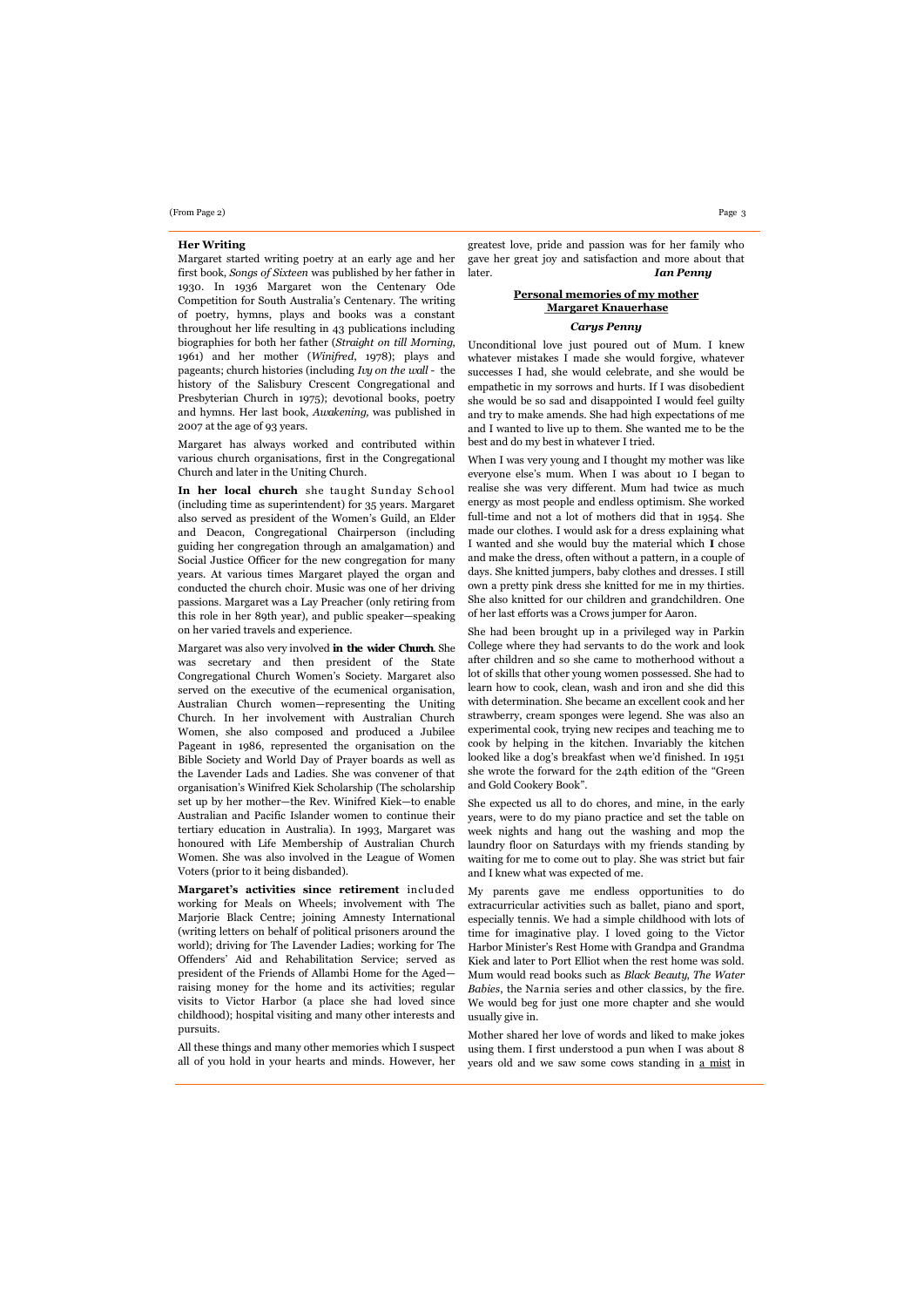# **Her Writing**

Margaret started writing poetry at an early age and her first book, *Songs of Sixteen* was published by her father in 1930. In 1936 Margaret won the Centenary Ode Competition for South Australia's Centenary. The writing of poetry, hymns, plays and books was a constant throughout her life resulting in 43 publications including biographies for both her father (*Straight on till Morning*, 1961) and her mother (*Winifred*, 1978); plays and pageants; church histories (including *Ivy on the wall* - the history of the Salisbury Crescent Congregational and Presbyterian Church in 1975); devotional books, poetry and hymns. Her last book, *Awakening,* was published in 2007 at the age of 93 years.

Margaret has always worked and contributed within various church organisations, first in the Congregational Church and later in the Uniting Church.

**In her local church** she taught Sunday School (including time as superintendent) for 35 years. Margaret also served as president of the Women's Guild, an Elder and Deacon, Congregational Chairperson (including guiding her congregation through an amalgamation) and Social Justice Officer for the new congregation for many years. At various times Margaret played the organ and conducted the church choir. Music was one of her driving passions. Margaret was a Lay Preacher (only retiring from this role in her 89th year), and public speaker—speaking on her varied travels and experience.

Margaret was also very involved **in the wider Church**. She was secretary and then president of the State Congregational Church Women's Society. Margaret also served on the executive of the ecumenical organisation, Australian Church women—representing the Uniting Church. In her involvement with Australian Church Women, she also composed and produced a Jubilee Pageant in 1986, represented the organisation on the Bible Society and World Day of Prayer boards as well as the Lavender Lads and Ladies. She was convener of that organisation's Winifred Kiek Scholarship (The scholarship set up by her mother—the Rev. Winifred Kiek—to enable Australian and Pacific Islander women to continue their tertiary education in Australia). In 1993, Margaret was honoured with Life Membership of Australian Church Women. She was also involved in the League of Women Voters (prior to it being disbanded).

**Margaret's activities since retirement** included working for Meals on Wheels; involvement with The Marjorie Black Centre; joining Amnesty International (writing letters on behalf of political prisoners around the world); driving for The Lavender Ladies; working for The Offenders' Aid and Rehabilitation Service; served as president of the Friends of Allambi Home for the Aged raising money for the home and its activities; regular visits to Victor Harbor (a place she had loved since childhood); hospital visiting and many other interests and pursuits.

All these things and many other memories which I suspect all of you hold in your hearts and minds. However, her

greatest love, pride and passion was for her family who gave her great joy and satisfaction and more about that later. *Ian Penny*

# **Personal memories of my mother Margaret Knauerhase** *Carys Penny*

Unconditional love just poured out of Mum. I knew whatever mistakes I made she would forgive, whatever successes I had, she would celebrate, and she would be empathetic in my sorrows and hurts. If I was disobedient she would be so sad and disappointed I would feel guilty and try to make amends. She had high expectations of me and I wanted to live up to them. She wanted me to be the best and do my best in whatever I tried.

When I was very young and I thought my mother was like everyone else's mum. When I was about 10 I began to realise she was very different. Mum had twice as much energy as most people and endless optimism. She worked full-time and not a lot of mothers did that in 1954. She made our clothes. I would ask for a dress explaining what I wanted and she would buy the material which **I** chose and make the dress, often without a pattern, in a couple of days. She knitted jumpers, baby clothes and dresses. I still own a pretty pink dress she knitted for me in my thirties. She also knitted for our children and grandchildren. One of her last efforts was a Crows jumper for Aaron.

She had been brought up in a privileged way in Parkin College where they had servants to do the work and look after children and so she came to motherhood without a lot of skills that other young women possessed. She had to learn how to cook, clean, wash and iron and she did this with determination. She became an excellent cook and her strawberry, cream sponges were legend. She was also an experimental cook, trying new recipes and teaching me to cook by helping in the kitchen. Invariably the kitchen looked like a dog's breakfast when we'd finished. In 1951 she wrote the forward for the 24th edition of the "Green and Gold Cookery Book".

She expected us all to do chores, and mine, in the early years, were to do my piano practice and set the table on week nights and hang out the washing and mop the laundry floor on Saturdays with my friends standing by waiting for me to come out to play. She was strict but fair and I knew what was expected of me.

My parents gave me endless opportunities to do extracurricular activities such as ballet, piano and sport, especially tennis. We had a simple childhood with lots of time for imaginative play. I loved going to the Victor Harbor Minister's Rest Home with Grandpa and Grandma Kiek and later to Port Elliot when the rest home was sold. Mum would read books such as *Black Beauty*, *The Water Babies*, the Narnia series and other classics, by the fire. We would beg for just one more chapter and she would usually give in.

Mother shared her love of words and liked to make jokes using them. I first understood a pun when I was about 8 years old and we saw some cows standing in a mist in

#### (From Page 2) Page 3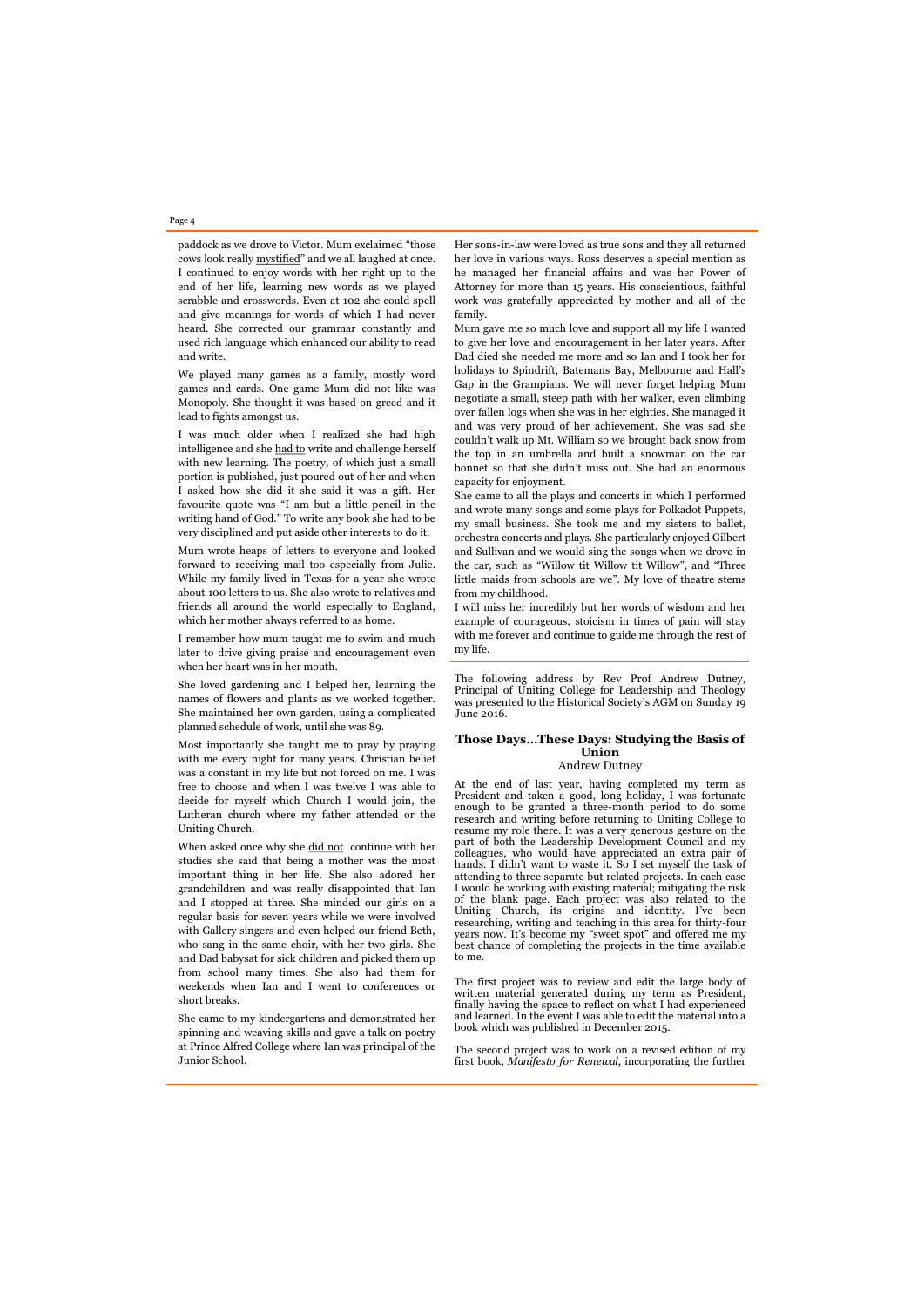paddock as we drove to Victor. Mum exclaimed "those cows look really mystified" and we all laughed at once. I continued to enjoy words with her right up to the end of her life, learning new words as we played scrabble and crosswords. Even at 102 she could spell and give meanings for words of which I had never heard. She corrected our grammar constantly and used rich language which enhanced our ability to read and write.

We played many games as a family, mostly word games and cards. One game Mum did not like was Monopoly. She thought it was based on greed and it lead to fights amongst us.

I was much older when I realized she had high intelligence and she had to write and challenge herself with new learning. The poetry, of which just a small portion is published, just poured out of her and when I asked how she did it she said it was a gift. Her favourite quote was "I am but a little pencil in the writing hand of God." To write any book she had to be very disciplined and put aside other interests to do it.

Mum wrote heaps of letters to everyone and looked forward to receiving mail too especially from Julie. While my family lived in Texas for a year she wrote about 100 letters to us. She also wrote to relatives and friends all around the world especially to England, which her mother always referred to as home.

When asked once why she did not continue with her studies she said that being a mother was the most important thing in her life. She also adored her grandchildren and was really disappointed that Ian and I stopped at three. She minded our girls on a regular basis for seven years while we were involved with Gallery singers and even helped our friend Beth, who sang in the same choir, with her two girls. She and Dad babysat for sick children and picked them up from school many times. She also had them for weekends when Ian and I went to conferences short breaks.

I remember how mum taught me to swim and much later to drive giving praise and encouragement even when her heart was in her mouth.

She loved gardening and I helped her, learning the names of flowers and plants as we worked together. She maintained her own garden, using a complicated planned schedule of work, until she was 89.

Most importantly she taught me to pray by praying with me every night for many years. Christian belief was a constant in my life but not forced on me. I was free to choose and when I was twelve I was able to decide for myself which Church I would join, the Lutheran church where my father attended or the Uniting Church.

She came to my kindergartens and demonstrated her spinning and weaving skills and gave a talk on poetry at Prince Alfred College where Ian was principal of the Junior School.

The following address by Rev Prof Andrew Dutney, Principal of Uniting College for Leadership and Theology was presented to the Historical Society's AGM on Sunday 19 June 2016.

# **Those Days…These Days: Studying the Basis of Union** Andrew Dutney

At the end of last year, having completed my term as President and taken a good, long holiday, I was fortunate enough to be granted a three-month period to do some research and writing before returning to Uniting College to resume my role there. It was a very generous gesture on the part of both the Leadership Development Council and my colleagues, who would have appreciated an extra pair of hands. I didn't want to waste it. So I set myself the task of attending to three separate but related projects. In each case I would be working with existing material; mitigating the risk of the blank page. Each project was also related to the Uniting Church, its origins and identity. I've been researching, writing and teaching in this area for thirty-four years now. It's become my "sweet spot" and offered me my best chance of completing the projects in the time available to me.

The first project was to review and edit the large body of

written material generated during my term as President, finally having the space to reflect on what I had experienced and learned. In the event I was able to edit the material into a book which was published in December 2015.

The second project was to work on a revised edition of my first book, *Manifesto for Renewal*, incorporating the further

Her sons-in-law were loved as true sons and they all returned her love in various ways. Ross deserves a special mention as he managed her financial affairs and was her Power of Attorney for more than 15 years. His conscientious, faithful work was gratefully appreciated by mother and all of the family.

Mum gave me so much love and support all my life I wanted to give her love and encouragement in her later years. After Dad died she needed me more and so Ian and I took her for holidays to Spindrift, Batemans Bay, Melbourne and Hall's Gap in the Grampians. We will never forget helping Mum negotiate a small, steep path with her walker, even climbing over fallen logs when she was in her eighties. She managed it and was very proud of her achievement. She was sad she couldn't walk up Mt. William so we brought back snow from the top in an umbrella and built a snowman on the car bonnet so that she didn't miss out. She had an enormous capacity for enjoyment.

She came to all the plays and concerts in which I performed and wrote many songs and some plays for Polkadot Puppets, my small business. She took me and my sisters to ballet, orchestra concerts and plays. She particularly enjoyed Gilbert and Sullivan and we would sing the songs when we drove in the car, such as "Willow tit Willow tit Willow", and "Three little maids from schools are we". My love of theatre stems from my childhood.

I will miss her incredibly but her words of wisdom and her example of courageous, stoicism in times of pain will stay with me forever and continue to guide me through the rest of my life.

# Page 4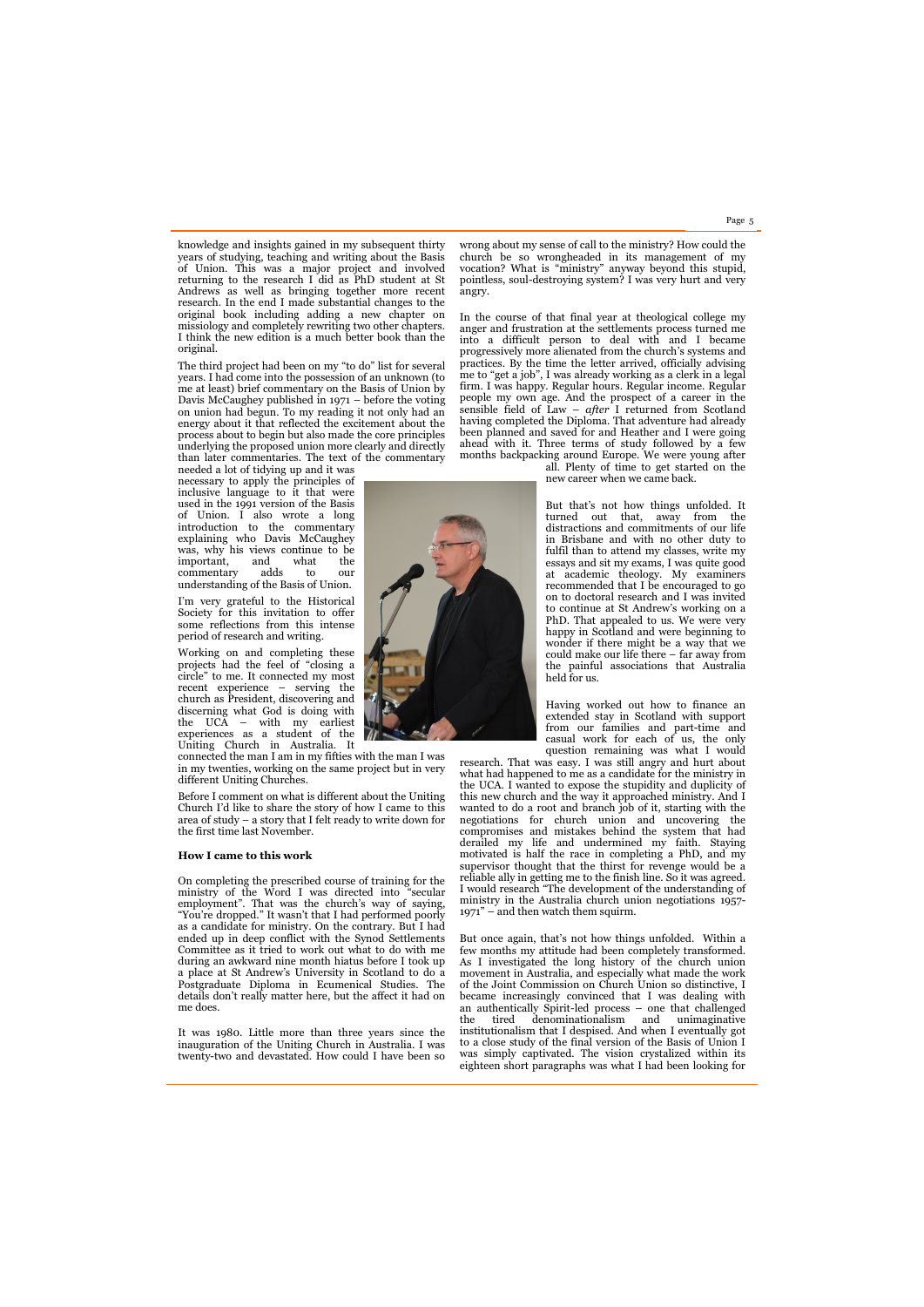knowledge and insights gained in my subsequent thirty years of studying, teaching and writing about the Basis of Union. This was a major project and involved returning to the research I did as PhD student at St Andrews as well as bringing together more recent research. In the end I made substantial changes to the original book including adding a new chapter on missiology and completely rewriting two other chapters. I think the new edition is a much better book than the original.

The third project had been on my "to do" list for several years. I had come into the possession of an unknown (to me at least) brief commentary on the Basis of Union by Davis McCaughey published in 1971 – before the voting on union had begun. To my reading it not only had an energy about it that reflected the excitement about the process about to begin but also made the core principles underlying the proposed union more clearly and directly than later commentaries. The text of the commentary

needed a lot of tidying up and it was necessary to apply the principles of inclusive language to it that were used in the 1991 version of the Basis of Union. I also wrote a long introduction to the commentary explaining who Davis McCaughey was, why his views continue to be important, and what the commentary adds to our understanding of the Basis of Union.

I'm very grateful to the Historical Society for this invitation to offer some reflections from this intense period of research and writing.

Working on and completing these projects had the feel of "closing a circle" to me. It connected my most recent experience – serving the church as President, discovering and discerning what God is doing with the UCA – with my earliest experiences as a student of the Uniting Church in Australia. It

connected the man I am in my fifties with the man I was in my twenties, working on the same project but in very different Uniting Churches.

Before I comment on what is different about the Uniting Church I'd like to share the story of how I came to this area of study – a story that I felt ready to write down for the first time last November.

#### **How I came to this work**

On completing the prescribed course of training for the ministry of the Word I was directed into "secular employment". That was the church's way of saying, "You're dropped." It wasn't that I had performed poorly as a candidate for ministry. On the contrary. But I had ended up in deep conflict with the Synod Settlements Committee as it tried to work out what to do with me during an awkward nine month hiatus before I took up a place at St Andrew's University in Scotland to do a Postgraduate Diploma in Ecumenical Studies. The details don't really matter here, but the affect it had on me does.

It was 1980. Little more than three years since the inauguration of the Uniting Church in Australia. I was twenty-two and devastated. How could I have been so wrong about my sense of call to the ministry? How could the church be so wrongheaded in its management of my vocation? What is "ministry" anyway beyond this stupid, pointless, soul-destroying system? I was very hurt and very angry.

In the course of that final year at theological college my anger and frustration at the settlements process turned me into a difficult person to deal with and I became progressively more alienated from the church's systems and practices. By the time the letter arrived, officially advising me to "get a job", I was already working as a clerk in a legal firm. I was happy. Regular hours. Regular income. Regular people my own age. And the prospect of a career in the sensible field of Law – *after* I returned from Scotland having completed the Diploma. That adventure had already been planned and saved for and Heather and I were going ahead with it. Three terms of study followed by a few months backpacking around Europe. We were young after



But that's not how things unfolded. It turned out that, away from the distractions and commitments of our life in Brisbane and with no other duty to fulfil than to attend my classes, write my essays and sit my exams, I was quite good at academic theology. My examiners recommended that I be encouraged to go on to doctoral research and I was invited to continue at St Andrew's working on a PhD. That appealed to us. We were very happy in Scotland and were beginning to wonder if there might be a way that we could make our life there – far away from the painful associations that Australia held for us.

Having worked out how to finance an extended stay in Scotland with support from our families and part-time and casual work for each of us, the only question remaining was what I would

research. That was easy. I was still angry and hurt about what had happened to me as a candidate for the ministry in the UCA. I wanted to expose the stupidity and duplicity of this new church and the way it approached ministry. And I wanted to do a root and branch job of it, starting with the negotiations for church union and uncovering the compromises and mistakes behind the system that had derailed my life and undermined my faith. Staying motivated is half the race in completing a PhD, and my supervisor thought that the thirst for revenge would be a reliable ally in getting me to the finish line. So it was agreed. I would research "The development of the understanding of ministry in the Australia church union negotiations 1957- 1971" – and then watch them squirm.

But once again, that's not how things unfolded. Within a few months my attitude had been completely transformed. As I investigated the long history of the church union movement in Australia, and especially what made the work of the Joint Commission on Church Union so distinctive, I became increasingly convinced that I was dealing with an authentically Spirit-led process – one that challenged the tired denominationalism and unimaginative institutionalism that I despised. And when I eventually got to a close study of the final version of the Basis of Union I was simply captivated. The vision crystalized within its eighteen short paragraphs was what I had been looking for



Page 5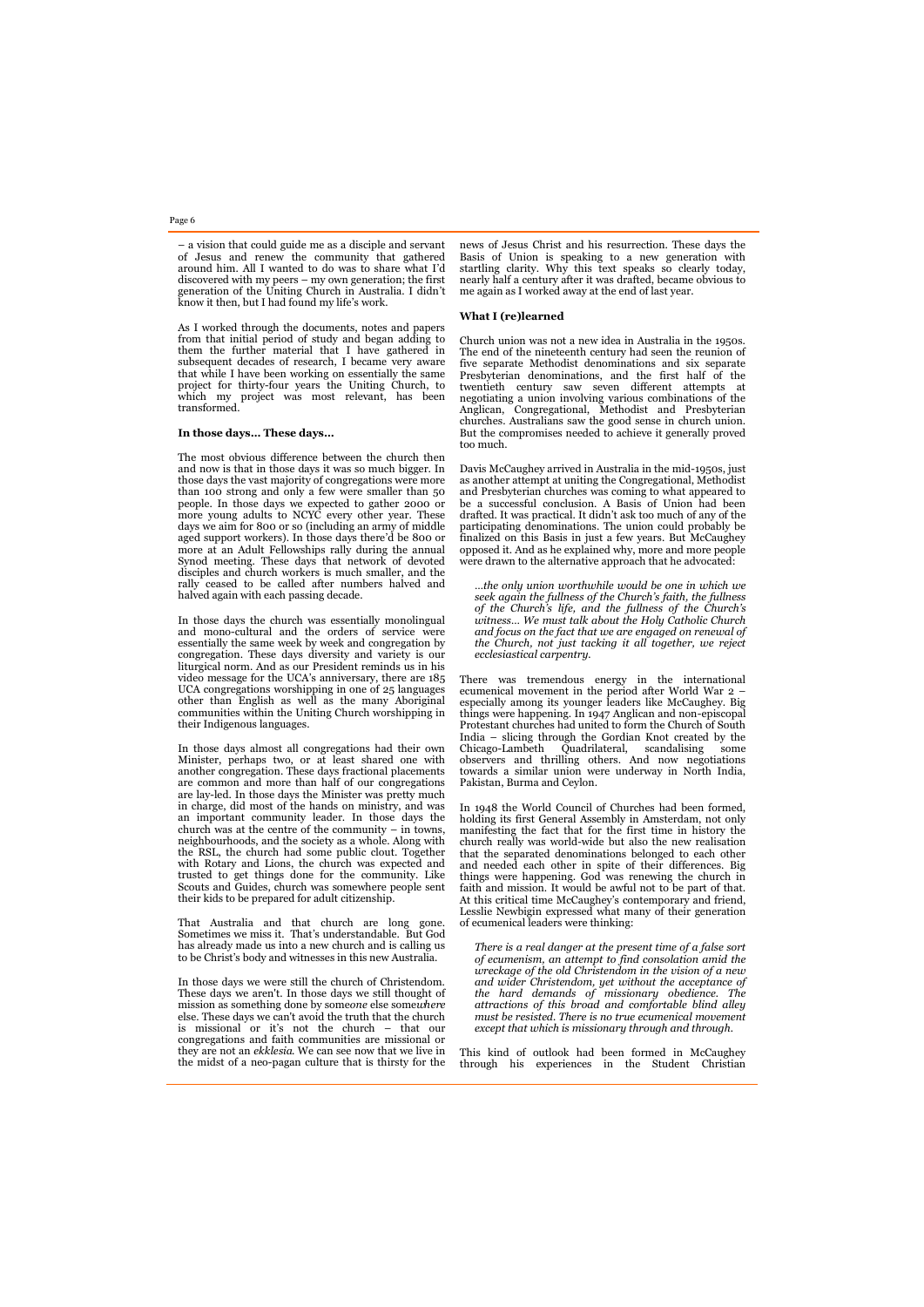– a vision that could guide me as a disciple and servant of Jesus and renew the community that gathered around him. All I wanted to do was to share what I'd

discovered with my peers – my own generation; the first generation of the Uniting Church in Australia. I didn't know it then, but I had found my life's work. As I worked through the documents, notes and papers from that initial period of study and began adding to

them the further material that I have gathered in subsequent decades of research, I became very aware that while I have been working on essentially the same project for thirty-four years the Uniting Church, to which my project was most relevant, has been transformed.

### **In those days… These days…**

The most obvious difference between the church then and now is that in those days it was so much bigger. In those days the vast majority of congregations were more than 100 strong and only a few were smaller than 50 people. In those days we expected to gather 2000 or more young adults to NCYC every other year. These days we aim for 800 or so (including an army of middle aged support workers). In those days there'd be 800 or more at an Adult Fellowships rally during the annual Synod meeting. These days that network of devoted disciples and church workers is much smaller, and the rally ceased to be called after numbers halved and halved again with each passing decade.

In those days the church was essentially monolingual and mono-cultural and the orders of service were essentially the same week by week and congregation by congregation. These days diversity and variety is our liturgical norm. And as our President reminds us in his video message for the UCA's anniversary, there are 185 UCA congregations worshipping in one of 25 languages other than English as well as the many Aboriginal communities within the Uniting Church worshipping in their Indigenous languages.

Davis McCaughey arrived in Australia in the mid-1950s, just as another attempt at uniting the Congregational, Methodist and Presbyterian churches was coming to what appeared to be a successful conclusion. A Basis of Union had been drafted. It was practical. It didn't ask too much of any of the participating denominations. The union could probably be finalized on this Basis in just a few years. But McCaughey opposed it. And as he explained why, more and more people were drawn to the alternative approach that he advocated:

In those days almost all congregations had their own Minister, perhaps two, or at least shared one with another congregation. These days fractional placements are common and more than half of our congregations are lay-led. In those days the Minister was pretty much in charge, did most of the hands on ministry, and was an important community leader. In those days the church was at the centre of the community – in towns, neighbourhoods, and the society as a whole. Along with the RSL, the church had some public clout. Together with Rotary and Lions, the church was expected and trusted to get things done for the community. Like Scouts and Guides, church was somewhere people sent their kids to be prepared for adult citizenship.

That Australia and that church are long gone. Sometimes we miss it. That's understandable. But God has already made us into a new church and is calling us to be Christ's body and witnesses in this new Australia.

In 1948 the World Council of Churches had been formed, holding its first General Assembly in Amsterdam, not only manifesting the fact that for the first time in history the church really was world-wide but also the new realisation that the separated denominations belonged to each other and needed each other in spite of their differences. Big things were happening. God was renewing the church in faith and mission. It would be awful not to be part of that. At this critical time McCaughey's contemporary and friend, Lesslie Newbigin expressed what many of their generation of ecumenical leaders were thinking:

In those days we were still the church of Christendom.

These days we aren't. In those days we still thought of mission as something done by some*one* else some*where* else. These days we can't avoid the truth that the church is missional or it's not the church – that our congregations and faith communities are missional or they are not an *ekklesia*. We can see now that we live in the midst of a neo-pagan culture that is thirsty for the

news of Jesus Christ and his resurrection. These days the Basis of Union is speaking to a new generation with startling clarity. Why this text speaks so clearly today, nearly half a century after it was drafted, became obvious to me again as I worked away at the end of last year.

# **What I (re)learned**

Church union was not a new idea in Australia in the 1950s. The end of the nineteenth century had seen the reunion of five separate Methodist denominations and six separate Presbyterian denominations, and the first half of the twentieth century saw seven different attempts at negotiating a union involving various combinations of the Anglican, Congregational, Methodist and Presbyterian churches. Australians saw the good sense in church union. But the compromises needed to achieve it generally proved too much.

…*the only union worthwhile would be one in which we seek again the fullness of the Church's faith, the fullness of the Church's life, and the fullness of the Church's witness… We must talk about the Holy Catholic Church and focus on the fact that we are engaged on renewal of the Church, not just tacking it all together, we reject ecclesiastical carpentry.*

There was tremendous energy in the international ecumenical movement in the period after World War 2 – especially among its younger leaders like McCaughey. Big things were happening. In 1947 Anglican and non-episcopal Protestant churches had united to form the Church of South India – slicing through the Gordian Knot created by the Chicago-Lambeth Quadrilateral, scandalising some observers and thrilling others. And now negotiations towards a similar union were underway in North India, Pakistan, Burma and Ceylon.

*There is a real danger at the present time of a false sort of ecumenism, an attempt to find consolation amid the wreckage of the old Christendom in the vision of a new and wider Christendom, yet without the acceptance of the hard demands of missionary obedience. The attractions of this broad and comfortable blind alley must be resisted. There is no true ecumenical movement except that which is missionary through and through.*

This kind of outlook had been formed in McCaughey through his experiences in the Student Christian

# Page 6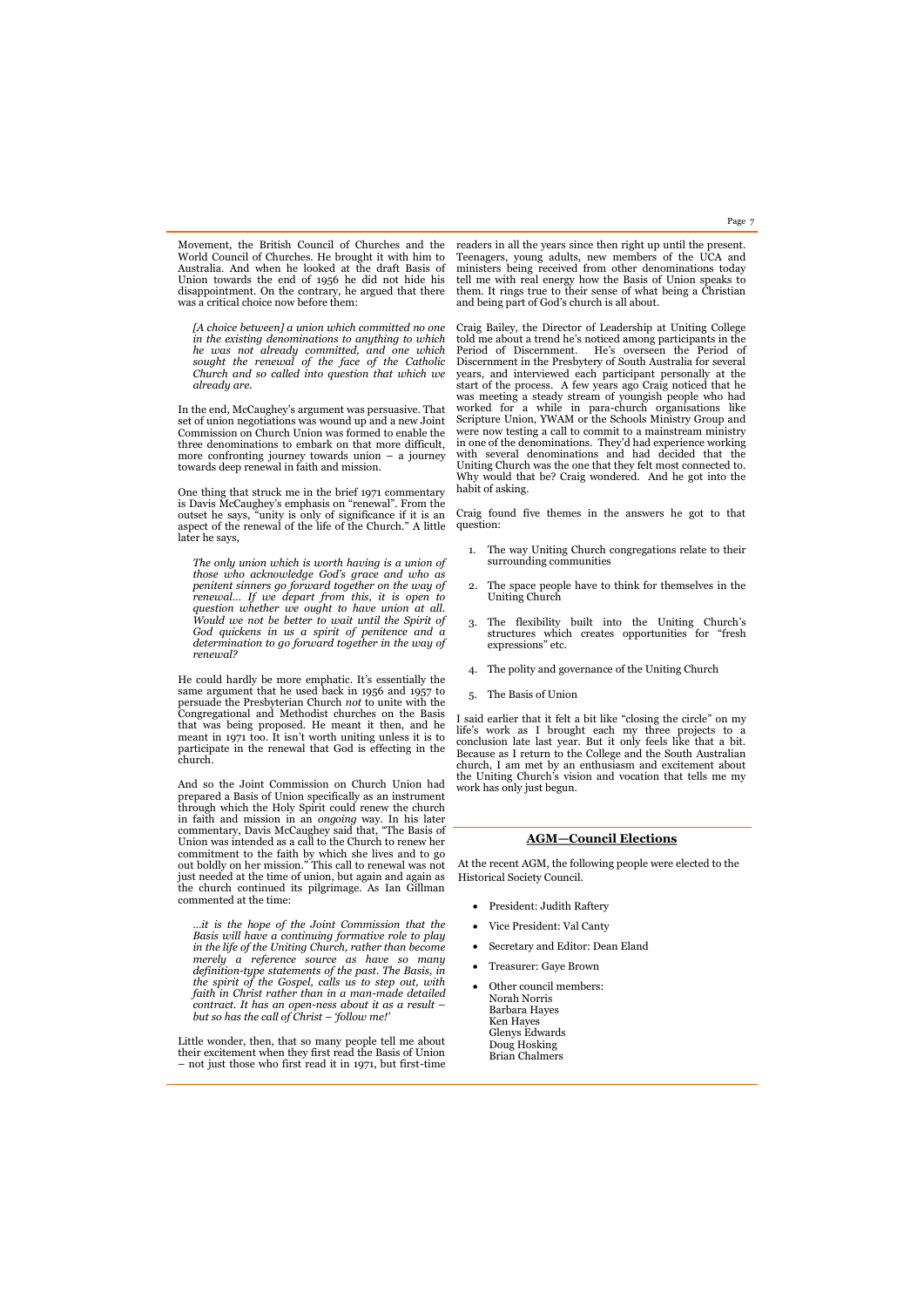Movement, the British Council of Churches and the World Council of Churches. He brought it with him to Australia. And when he looked at the draft Basis of Union towards the end of 1956 he did not hide his disappointment. On the contrary, he argued that there was a critical choice now before them:

*[A choice between] a union which committed no one in the existing denominations to anything to which he was not already committed, and one which sought the renewal of the face of the Catholic Church and so called into question that which we already are.*

In the end, McCaughey's argument was persuasive. That set of union negotiations was wound up and a new Joint Commission on Church Union was formed to enable the three denominations to embark on that more difficult, more confronting journey towards union – a journey towards deep renewal in faith and mission.

One thing that struck me in the brief 1971 commentary is Davis McCaughey's emphasis on "renewal". From the outset he says, "unity is only of significance if it is an aspect of the renewal of the life of the Church." A little later he says,

*The only union which is worth having is a union of those who acknowledge God's grace and who as penitent sinners go forward together on the way of renewal… If we depart from this, it is open to question whether we ought to have union at all. Would we not be better to wait until the Spirit of God quickens in us a spirit of penitence and a determination to go forward together in the way of renewal?*

He could hardly be more emphatic. It's essentially the same argument that he used back in 1956 and 1957 to persuade the Presbyterian Church *not* to unite with the Congregational and Methodist churches on the Basis that was being proposed. He meant it then, and he meant in 1971 too. It isn't worth uniting unless it is to participate in the renewal that God is effecting in the church.

And so the Joint Commission on Church Union had prepared a Basis of Union specifically as an instrument through which the Holy Spirit could renew the church in faith and mission in an *ongoing* way. In his later commentary, Davis McCaughey said that, "The Basis of Union was intended as a call to the Church to renew her commitment to the faith by which she lives and to go out boldly on her mission." This call to renewal was not just needed at the time of union, but again and again as the church continued its pilgrimage. As Ian Gillman commented at the time:

*…it is the hope of the Joint Commission that the Basis will have a continuing formative role to play in the life of the Uniting Church, rather than become merely a reference source as have so many definition-type statements of the past. The Basis, in the spirit of the Gospel, calls us to step out, with faith in Christ rather than in a man-made detailed contract. It has an open-ness about it as a result – but so has the call of Christ – 'follow me!'*

Little wonder, then, that so many people tell me about their excitement when they first read the Basis of Union – not just those who first read it in 1971, but first-time readers in all the years since then right up until the present. Teenagers, young adults, new members of the UCA and ministers being received from other denominations today tell me with real energy how the Basis of Union speaks to them. It rings true to their sense of what being a Christian and being part of God's church is all about.

Craig Bailey, the Director of Leadership at Uniting College told me about a trend he's noticed among participants in the Period of Discernment. He's overseen the Period of Discernment in the Presbytery of South Australia for several years, and interviewed each participant personally at the start of the process. A few years ago Craig noticed that he was meeting a steady stream of youngish people who had worked for a while in para-church organisations like Scripture Union, YWAM or the Schools Ministry Group and were now testing a call to commit to a mainstream ministry in one of the denominations. They'd had experience working with several denominations and had decided that the Uniting Church was the one that they felt most connected to. Why would that be? Craig wondered. And he got into the habit of asking.

Craig found five themes in the answers he got to that question:

- 1. The way Uniting Church congregations relate to their surrounding communities
- 2. The space people have to think for themselves in the Uniting Church
- 3. The flexibility built into the Uniting Church's structures which creates opportunities for "fresh expressions" etc.
- 4. The polity and governance of the Uniting Church
- 5. The Basis of Union

I said earlier that it felt a bit like "closing the circle" on my life's work as I brought each my three projects to a conclusion late last year. But it only feels like that a bit. Because as I return to the College and the South Australian church, I am met by an enthusiasm and excitement about the Uniting Church's vision and vocation that tells me my work has only just begun.

Page 7

# **AGM—Council Elections**

At the recent AGM, the following people were elected to the Historical Society Council.

- President: Judith Raftery
- Vice President: Val Canty
- Secretary and Editor: Dean Eland
- Treasurer: Gaye Brown
- 

 Other council members: Norah Norris Barbara Hayes Ken Hayes Glenys Edwards Doug Hosking Brian Chalmers